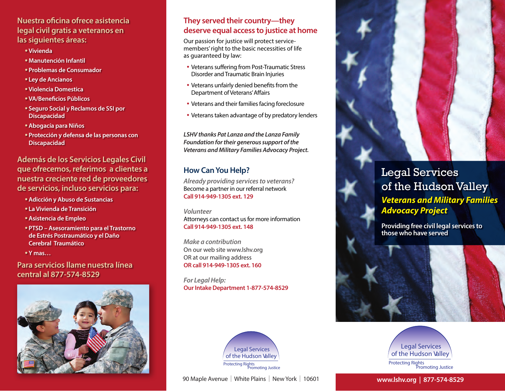# **Nuestra oficina ofrece asistencia legal civil gratis a veteranos en las siguientes áreas:**

- **• Vivienda**
- **• Manutención Infantil**
- **• Problemas de Consumador**
- **• Ley de Ancianos**
- **• Violencia Domestica**
- **• VA/Beneficios Públicos**
- **• Seguro Social y Reclamos de SSI por Discapacidad**
- **• Abogacía para Niños**
- **• Protección y defensa de las personas con Discapacidad**

**Además de los Servicios Legales Civil que ofrecemos, referimos a clientes a nuestra creciente red de proveedores de servicios, incluso servicios para:**

- **• Adicción y Abuso de Sustancias**
- **• La Vivienda de Transición**
- **• Asistencia de Empleo**
- **• PTSD Asesoramiento para el Trastorno de Estrés Postraumático y el Daño Cerebral Traumático**
- **• Y mas…**

**Para servicios llame nuestra línea central al 877-574-8529**



# **They served their country—they deserve equal access to justice at home**

Our passion for justice will protect servicemembers' right to the basic necessities of life as guaranteed by law:

- Veterans suffering from Post-Traumatic Stress Disorder and Traumatic Brain Injuries
- Veterans unfairly denied benefits from the Department of Veterans' Affairs
- Veterans and their families facing foreclosure
- Veterans taken advantage of by predatory lenders

*LSHV thanks Pat Lanza and the Lanza Family Foundation for their generous support of the Veterans and Military Families Advocacy Project.* 

# **How Can You Help?**

*Already providing services to veterans?*  Become a partner in our referral network **Call 914-949-1305 ext. 129**

*Volunteer* Attorneys can contact us for more information **Call 914-949-1305 ext. 148**

*Make a contribution* On our web site www.lshv.org OR at our mailing address **OR call 914-949-1305 ext. 160**

*For Legal Help:* **Our Intake Department 1-877-574-8529**



90 Maple Avenue | White Plains | New York | 10601



**Providing free civil legal services to those who have served**





**www.lshv.org | 877-574-8529**